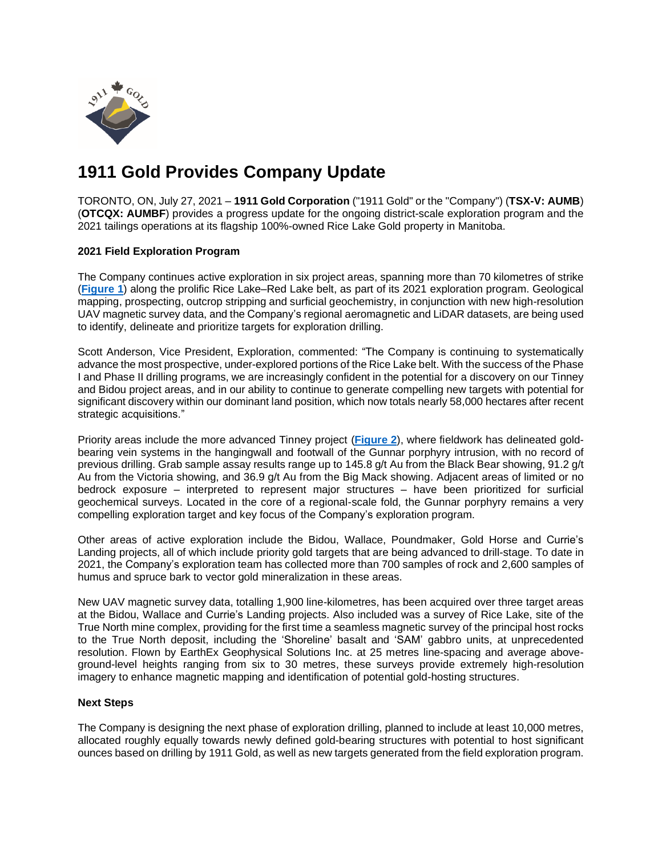

# **1911 Gold Provides Company Update**

TORONTO, ON, July 27, 2021 – **1911 Gold Corporation** ("1911 Gold" or the "Company") (**TSX-V: AUMB**) (**OTCQX: AUMBF**) provides a progress update for the ongoing district-scale exploration program and the 2021 tailings operations at its flagship 100%-owned Rice Lake Gold property in Manitoba.

# **2021 Field Exploration Program**

The Company continues active exploration in six project areas, spanning more than 70 kilometres of strike (**[Figure](https://www.1911gold.com/_resources/news/AUMB-NR-July-2021-Figure-1.pdf) 1**) along the prolific Rice Lake–Red Lake belt, as part of its 2021 exploration program. Geological mapping, prospecting, outcrop stripping and surficial geochemistry, in conjunction with new high-resolution UAV magnetic survey data, and the Company's regional aeromagnetic and LiDAR datasets, are being used to identify, delineate and prioritize targets for exploration drilling.

Scott Anderson, Vice President, Exploration, commented: "The Company is continuing to systematically advance the most prospective, under-explored portions of the Rice Lake belt. With the success of the Phase I and Phase II drilling programs, we are increasingly confident in the potential for a discovery on our Tinney and Bidou project areas, and in our ability to continue to generate compelling new targets with potential for significant discovery within our dominant land position, which now totals nearly 58,000 hectares after recent strategic acquisitions."

Priority areas include the more advanced Tinney project (**[Figure](https://www.1911gold.com/_resources/news/AUMB-NR-July-2021-Figure-2.pdf) 2**), where fieldwork has delineated goldbearing vein systems in the hangingwall and footwall of the Gunnar porphyry intrusion, with no record of previous drilling. Grab sample assay results range up to 145.8 g/t Au from the Black Bear showing, 91.2 g/t Au from the Victoria showing, and 36.9 g/t Au from the Big Mack showing. Adjacent areas of limited or no bedrock exposure – interpreted to represent major structures – have been prioritized for surficial geochemical surveys. Located in the core of a regional-scale fold, the Gunnar porphyry remains a very compelling exploration target and key focus of the Company's exploration program.

Other areas of active exploration include the Bidou, Wallace, Poundmaker, Gold Horse and Currie's Landing projects, all of which include priority gold targets that are being advanced to drill-stage. To date in 2021, the Company's exploration team has collected more than 700 samples of rock and 2,600 samples of humus and spruce bark to vector gold mineralization in these areas.

New UAV magnetic survey data, totalling 1,900 line-kilometres, has been acquired over three target areas at the Bidou, Wallace and Currie's Landing projects. Also included was a survey of Rice Lake, site of the True North mine complex, providing for the first time a seamless magnetic survey of the principal host rocks to the True North deposit, including the 'Shoreline' basalt and 'SAM' gabbro units, at unprecedented resolution. Flown by EarthEx Geophysical Solutions Inc. at 25 metres line-spacing and average aboveground-level heights ranging from six to 30 metres, these surveys provide extremely high-resolution imagery to enhance magnetic mapping and identification of potential gold-hosting structures.

#### **Next Steps**

The Company is designing the next phase of exploration drilling, planned to include at least 10,000 metres, allocated roughly equally towards newly defined gold-bearing structures with potential to host significant ounces based on drilling by 1911 Gold, as well as new targets generated from the field exploration program.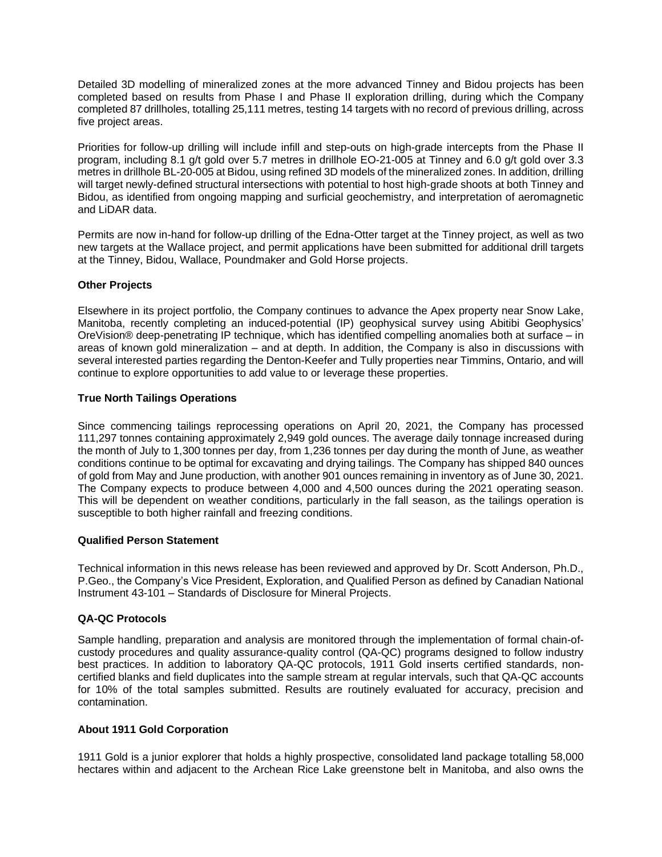Detailed 3D modelling of mineralized zones at the more advanced Tinney and Bidou projects has been completed based on results from Phase I and Phase II exploration drilling, during which the Company completed 87 drillholes, totalling 25,111 metres, testing 14 targets with no record of previous drilling, across five project areas.

Priorities for follow-up drilling will include infill and step-outs on high-grade intercepts from the Phase II program, including 8.1 g/t gold over 5.7 metres in drillhole EO-21-005 at Tinney and 6.0 g/t gold over 3.3 metres in drillhole BL-20-005 at Bidou, using refined 3D modelsofthe mineralized zones. In addition, drilling will target newly-defined structural intersections with potential to host high-grade shoots at both Tinney and Bidou, as identified from ongoing mapping and surficial geochemistry, and interpretation of aeromagnetic and LiDAR data.

Permits are now in-hand for follow-up drilling of the Edna-Otter target at the Tinney project, as well as two new targets at the Wallace project, and permit applications have been submitted for additional drill targets at the Tinney, Bidou, Wallace, Poundmaker and Gold Horse projects.

# **Other Projects**

Elsewhere in its project portfolio, the Company continues to advance the Apex property near Snow Lake, Manitoba, recently completing an induced-potential (IP) geophysical survey using Abitibi Geophysics' OreVision® deep-penetrating IP technique, which has identified compelling anomalies both at surface – in areas of known gold mineralization – and at depth. In addition, the Company is also in discussions with several interested parties regarding the Denton-Keefer and Tully properties near Timmins, Ontario, and will continue to explore opportunities to add value to or leverage these properties.

# **True North Tailings Operations**

Since commencing tailings reprocessing operations on April 20, 2021, the Company has processed 111,297 tonnes containing approximately 2,949 gold ounces. The average daily tonnage increased during the month of July to 1,300 tonnes per day, from 1,236 tonnes per day during the month of June, as weather conditions continue to be optimal for excavating and drying tailings. The Company has shipped 840 ounces of gold from May and June production, with another 901 ounces remaining in inventory as of June 30, 2021. The Company expects to produce between 4,000 and 4,500 ounces during the 2021 operating season. This will be dependent on weather conditions, particularly in the fall season, as the tailings operation is susceptible to both higher rainfall and freezing conditions.

#### **Qualified Person Statement**

Technical information in this news release has been reviewed and approved by Dr. Scott Anderson, Ph.D., P.Geo., the Company's Vice President, Exploration, and Qualified Person as defined by Canadian National Instrument 43-101 – Standards of Disclosure for Mineral Projects.

# **QA-QC Protocols**

Sample handling, preparation and analysis are monitored through the implementation of formal chain-ofcustody procedures and quality assurance-quality control (QA-QC) programs designed to follow industry best practices. In addition to laboratory QA-QC protocols, 1911 Gold inserts certified standards, noncertified blanks and field duplicates into the sample stream at regular intervals, such that QA-QC accounts for 10% of the total samples submitted. Results are routinely evaluated for accuracy, precision and contamination.

# **About 1911 Gold Corporation**

1911 Gold is a junior explorer that holds a highly prospective, consolidated land package totalling 58,000 hectares within and adjacent to the Archean Rice Lake greenstone belt in Manitoba, and also owns the